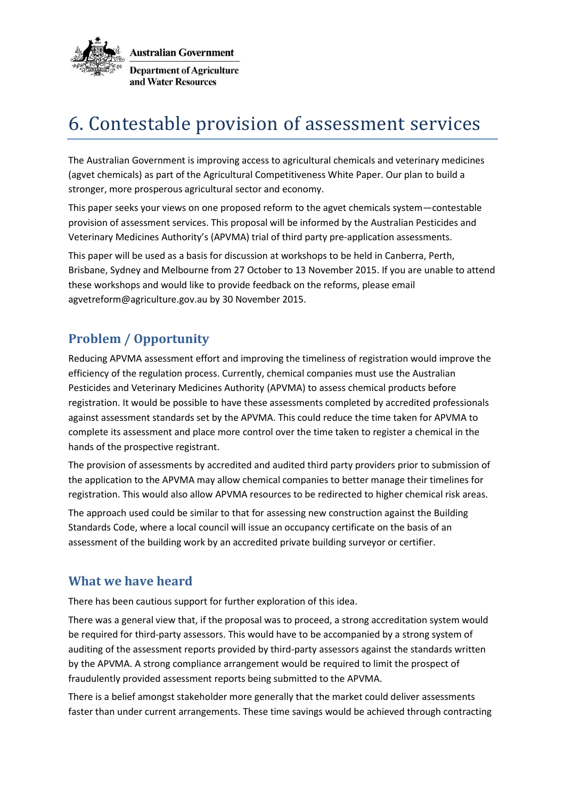

# 6. Contestable provision of assessment services

The Australian Government is improving access to agricultural chemicals and veterinary medicines (agvet chemicals) as part of the Agricultural Competitiveness White Paper. Our plan to build a stronger, more prosperous agricultural sector and economy.

This paper seeks your views on one proposed reform to the agvet chemicals system—contestable provision of assessment services. This proposal will be informed by the Australian Pesticides and Veterinary Medicines Authority's (APVMA) trial of third party pre-application assessments.

This paper will be used as a basis for discussion at workshops to be held in Canberra, Perth, Brisbane, Sydney and Melbourne from 27 October to 13 November 2015. If you are unable to attend these workshops and would like to provide feedback on the reforms, please email agvetreform@agriculture.gov.au by 30 November 2015.

## **Problem / Opportunity**

Reducing APVMA assessment effort and improving the timeliness of registration would improve the efficiency of the regulation process. Currently, chemical companies must use the Australian Pesticides and Veterinary Medicines Authority (APVMA) to assess chemical products before registration. It would be possible to have these assessments completed by accredited professionals against assessment standards set by the APVMA. This could reduce the time taken for APVMA to complete its assessment and place more control over the time taken to register a chemical in the hands of the prospective registrant.

The provision of assessments by accredited and audited third party providers prior to submission of the application to the APVMA may allow chemical companies to better manage their timelines for registration. This would also allow APVMA resources to be redirected to higher chemical risk areas.

The approach used could be similar to that for assessing new construction against the Building Standards Code, where a local council will issue an occupancy certificate on the basis of an assessment of the building work by an accredited private building surveyor or certifier.

#### **What we have heard**

There has been cautious support for further exploration of this idea.

There was a general view that, if the proposal was to proceed, a strong accreditation system would be required for third-party assessors. This would have to be accompanied by a strong system of auditing of the assessment reports provided by third-party assessors against the standards written by the APVMA. A strong compliance arrangement would be required to limit the prospect of fraudulently provided assessment reports being submitted to the APVMA.

There is a belief amongst stakeholder more generally that the market could deliver assessments faster than under current arrangements. These time savings would be achieved through contracting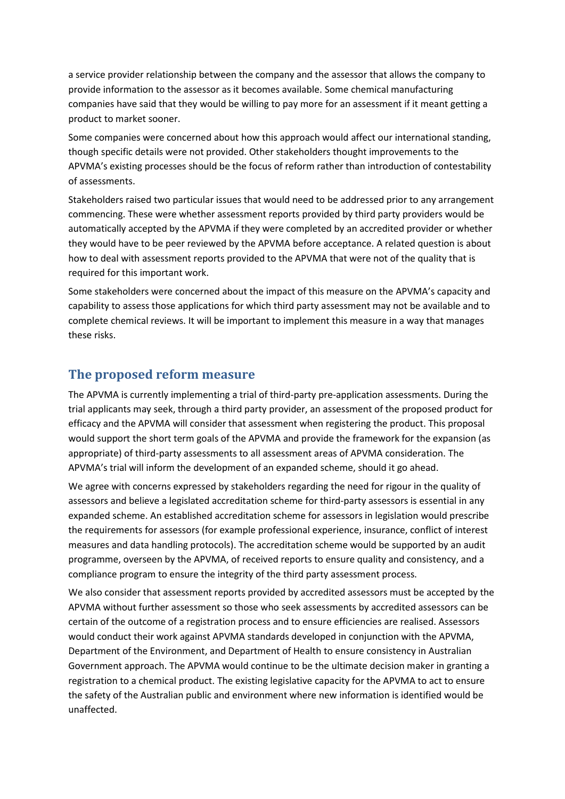a service provider relationship between the company and the assessor that allows the company to provide information to the assessor as it becomes available. Some chemical manufacturing companies have said that they would be willing to pay more for an assessment if it meant getting a product to market sooner.

Some companies were concerned about how this approach would affect our international standing, though specific details were not provided. Other stakeholders thought improvements to the APVMA's existing processes should be the focus of reform rather than introduction of contestability of assessments.

Stakeholders raised two particular issues that would need to be addressed prior to any arrangement commencing. These were whether assessment reports provided by third party providers would be automatically accepted by the APVMA if they were completed by an accredited provider or whether they would have to be peer reviewed by the APVMA before acceptance. A related question is about how to deal with assessment reports provided to the APVMA that were not of the quality that is required for this important work.

Some stakeholders were concerned about the impact of this measure on the APVMA's capacity and capability to assess those applications for which third party assessment may not be available and to complete chemical reviews. It will be important to implement this measure in a way that manages these risks.

#### **The proposed reform measure**

The APVMA is currently implementing a trial of third-party pre-application assessments. During the trial applicants may seek, through a third party provider, an assessment of the proposed product for efficacy and the APVMA will consider that assessment when registering the product. This proposal would support the short term goals of the APVMA and provide the framework for the expansion (as appropriate) of third-party assessments to all assessment areas of APVMA consideration. The APVMA's trial will inform the development of an expanded scheme, should it go ahead.

We agree with concerns expressed by stakeholders regarding the need for rigour in the quality of assessors and believe a legislated accreditation scheme for third-party assessors is essential in any expanded scheme. An established accreditation scheme for assessors in legislation would prescribe the requirements for assessors (for example professional experience, insurance, conflict of interest measures and data handling protocols). The accreditation scheme would be supported by an audit programme, overseen by the APVMA, of received reports to ensure quality and consistency, and a compliance program to ensure the integrity of the third party assessment process.

We also consider that assessment reports provided by accredited assessors must be accepted by the APVMA without further assessment so those who seek assessments by accredited assessors can be certain of the outcome of a registration process and to ensure efficiencies are realised. Assessors would conduct their work against APVMA standards developed in conjunction with the APVMA, Department of the Environment, and Department of Health to ensure consistency in Australian Government approach. The APVMA would continue to be the ultimate decision maker in granting a registration to a chemical product. The existing legislative capacity for the APVMA to act to ensure the safety of the Australian public and environment where new information is identified would be unaffected.